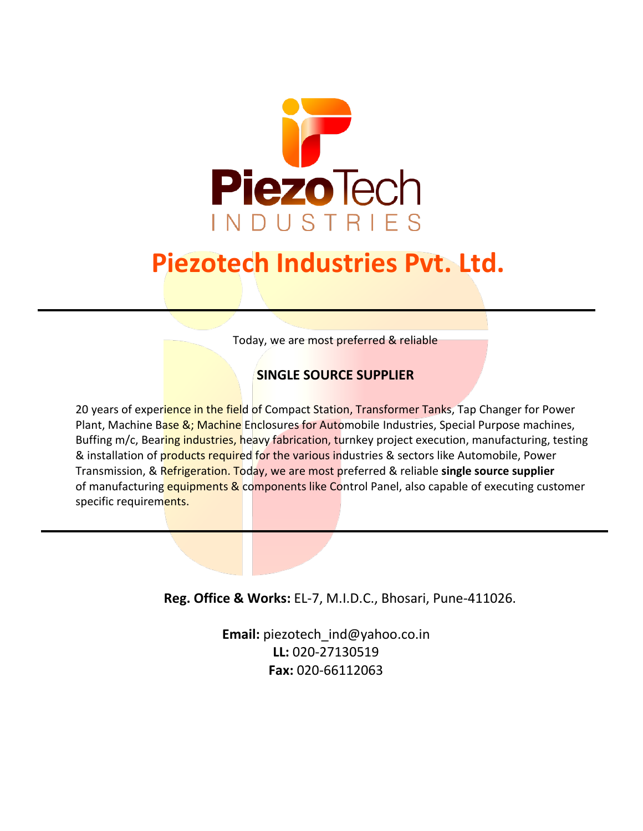

# **Piezotech Industries Pvt. Ltd.**

Today, we are most preferred & reliable

#### **SINGLE SOURCE SUPPLIER**

20 years of experience in the field of Compact Station, Transformer Tanks, Tap Changer for Power Plant, Machine Base &; Machine Enclosures for Automobile Industries, Special Purpose machines, Buffing m/c, Bearing industries, heavy fabrication, turnkey project execution, manufacturing, testing & installation of products required for the various industries & sectors like Automobile, Power Transmission, & Refrigeration. Today, we are most preferred & reliable **single source supplier** of manufacturing equipments & components like Control Panel, also capable of executing customer specific requirements.

**Reg. Office & Works:** EL-7, M.I.D.C., Bhosari, Pune-411026.

**Email:** [piezotech\\_ind@yahoo.co.in](mailto:piezotech_ind@yahoo.co.in) **LL:** 020-27130519 **Fax:** 020-66112063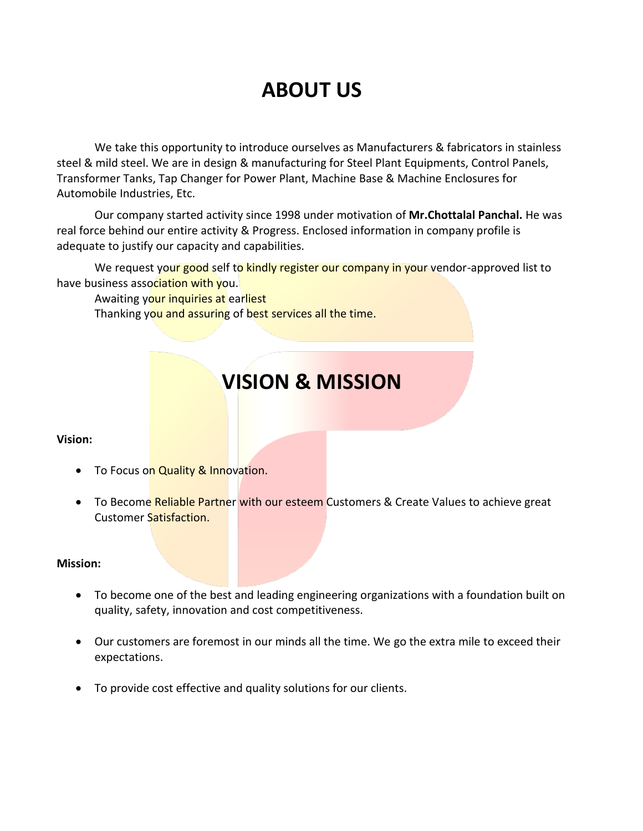## **ABOUT US**

We take this opportunity to introduce ourselves as Manufacturers & fabricators in stainless steel & mild steel. We are in design & manufacturing for Steel Plant Equipments, Control Panels, Transformer Tanks, Tap Changer for Power Plant, Machine Base & Machine Enclosures for Automobile Industries, Etc.

Our company started activity since 1998 under motivation of **Mr.Chottalal Panchal.** He was real force behind our entire activity & Progress. Enclosed information in company profile is adequate to justify our capacity and capabilities.

We request your good self to kindly register our company in your vendor-approved list to have business association with you.

Awaiting your inquiries at earliest

Thanking you and assuring of best services all the time.

## **VISION & MISSION**

#### **Vision:**

- To Focus on Quality & Innovation.
- To Become Reliable Partner with our esteem Customers & Create Values to achieve great Customer Satisfaction.

#### **Mission:**

- To become one of the best and leading engineering organizations with a foundation built on quality, safety, innovation and cost competitiveness.
- Our customers are foremost in our minds all the time. We go the extra mile to exceed their expectations.
- To provide cost effective and quality solutions for our clients.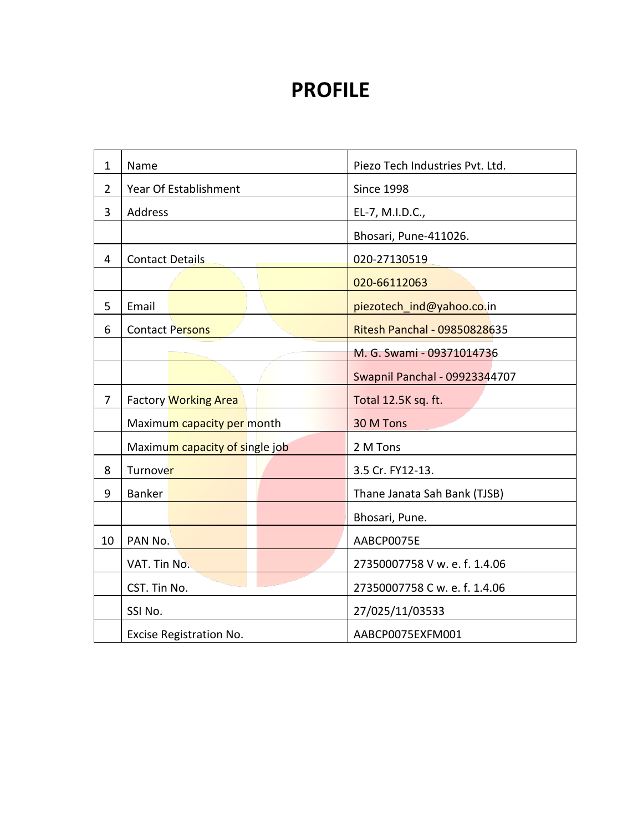### **PROFILE**

| $\mathbf{1}$   | Name                                   |                             |  | Piezo Tech Industries Pvt. Ltd.      |  |  |
|----------------|----------------------------------------|-----------------------------|--|--------------------------------------|--|--|
| $\overline{2}$ | Year Of Establishment                  |                             |  | <b>Since 1998</b>                    |  |  |
| 3              | <b>Address</b>                         |                             |  | EL-7, M.I.D.C.,                      |  |  |
|                |                                        |                             |  | Bhosari, Pune-411026.                |  |  |
| 4              | <b>Contact Details</b>                 |                             |  | 020-27130519                         |  |  |
|                |                                        |                             |  | 020-66112063                         |  |  |
| 5              | Email                                  |                             |  | piezotech_ind@yahoo.co.in            |  |  |
| 6              |                                        | <b>Contact Persons</b>      |  | <b>Ritesh Panchal - 09850828635</b>  |  |  |
|                |                                        |                             |  | M. G. Swami - 09371014736            |  |  |
|                |                                        |                             |  | <b>Swapnil Panchal - 09923344707</b> |  |  |
| $\overline{7}$ |                                        | <b>Factory Working Area</b> |  | Total 12.5K sq. ft.                  |  |  |
|                | Maximum capacity per month             |                             |  | 30 M Tons                            |  |  |
|                | Maximum capacity of single job         |                             |  | 2 M Tons                             |  |  |
| 8              | Turnover                               |                             |  | 3.5 Cr. FY12-13.                     |  |  |
| 9              | Banker<br>Thane Janata Sah Bank (TJSB) |                             |  |                                      |  |  |
|                | Bhosari, Pune.                         |                             |  |                                      |  |  |
| 10             | PAN No.                                |                             |  | AABCP0075E                           |  |  |
|                | VAT. Tin No.                           |                             |  | 27350007758 V w. e. f. 1.4.06        |  |  |
|                | CST. Tin No.                           |                             |  | 27350007758 C w. e. f. 1.4.06        |  |  |
|                | SSI No.                                |                             |  | 27/025/11/03533                      |  |  |
|                | Excise Registration No.                |                             |  | AABCP0075EXFM001                     |  |  |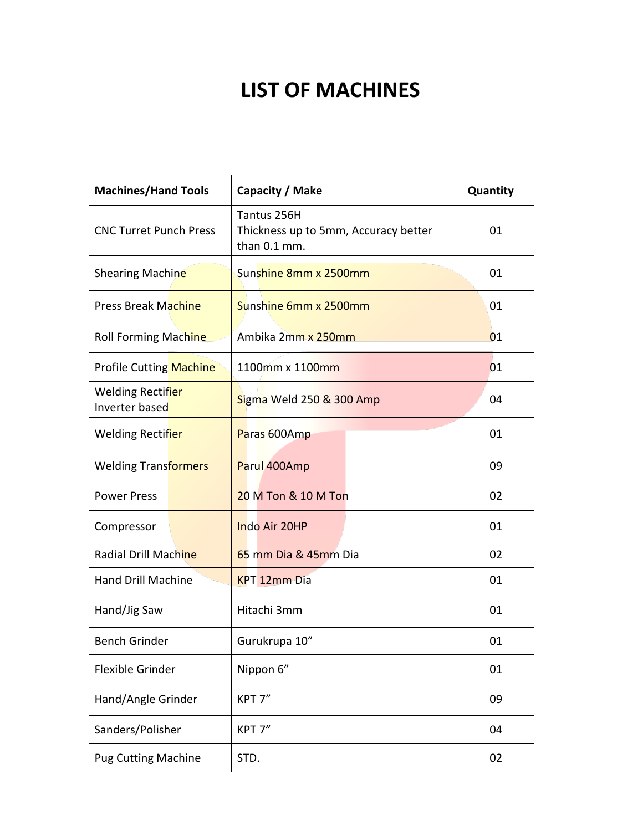## **LIST OF MACHINES**

| <b>Machines/Hand Tools</b>          | Capacity / Make                                                     | Quantity |
|-------------------------------------|---------------------------------------------------------------------|----------|
| <b>CNC Turret Punch Press</b>       | Tantus 256H<br>Thickness up to 5mm, Accuracy better<br>than 0.1 mm. | 01       |
| Shearing Machine                    | Sunshine 8mm x 2500mm                                               | 01       |
| <b>Press Break Machine</b>          | Sunshine 6mm x 2500mm                                               | 01       |
| <b>Roll Forming Machine</b>         | Ambika 2mm x 250mm                                                  | 01       |
| <b>Profile Cutting Machine</b>      | 1100mm x 1100mm                                                     | 01       |
| Welding Rectifier<br>Inverter based | Sigma Weld 250 & 300 Amp                                            | 04       |
| Welding Rectifier                   | Paras 600Amp                                                        | 01       |
| <b>Welding Transformers</b>         | Parul 400Amp                                                        | 09       |
| <b>Power Press</b>                  | 20 M Ton & 10 M Ton                                                 | 02       |
| Compressor                          | Indo Air 20HP                                                       | 01       |
| Radial Drill Machine                | 65 mm Dia & 45mm Dia                                                | 02       |
| <b>Hand Drill Machine</b>           | <b>KPT 12mm Dia</b>                                                 | 01       |
| Hand/Jig Saw                        | Hitachi 3mm                                                         | 01       |
| <b>Bench Grinder</b>                | Gurukrupa 10"                                                       | 01       |
| Flexible Grinder                    | Nippon 6"                                                           | 01       |
| Hand/Angle Grinder                  | KPT 7"                                                              | 09       |
| Sanders/Polisher                    | KPT 7"                                                              | 04       |
| <b>Pug Cutting Machine</b>          | STD.                                                                | 02       |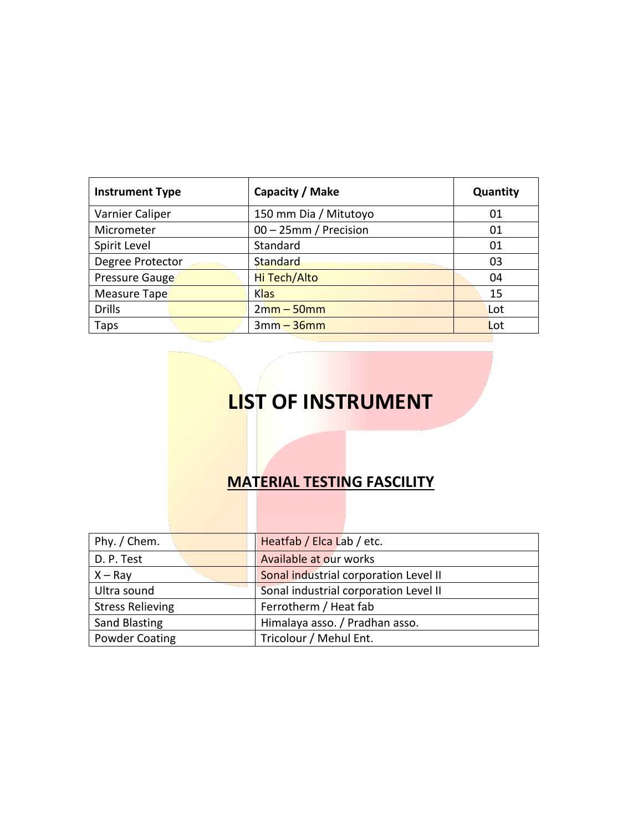| <b>Instrument Type</b> | Capacity / Make       | Quantity |
|------------------------|-----------------------|----------|
| Varnier Caliper        | 150 mm Dia / Mitutoyo | 01       |
| Micrometer             | 00 - 25mm / Precision | 01       |
| Spirit Level           | Standard              | 01       |
| Degree Protector       | Standard              | 03       |
| Pressure Gauge         | Hi Tech/Alto          | 04       |
| Measure Tape           | <b>Klas</b>           | 15       |
| <b>Drills</b>          | $2mm - 50mm$          | Lot      |
| Taps                   | $3mm - 36mm$          | Lot      |

## **LIST OF INSTRUMENT**

#### **MATERIAL TESTING FASCILITY**

| Phy. / Chem.            | Heatfab / Elca Lab / etc.             |  |  |  |
|-------------------------|---------------------------------------|--|--|--|
| D. P. Test              | Available at our works                |  |  |  |
| $X - Ray$               | Sonal industrial corporation Level II |  |  |  |
| Ultra sound             | Sonal industrial corporation Level II |  |  |  |
| <b>Stress Relieving</b> | Ferrotherm / Heat fab                 |  |  |  |
| <b>Sand Blasting</b>    | Himalaya asso. / Pradhan asso.        |  |  |  |
| <b>Powder Coating</b>   | Tricolour / Mehul Ent.                |  |  |  |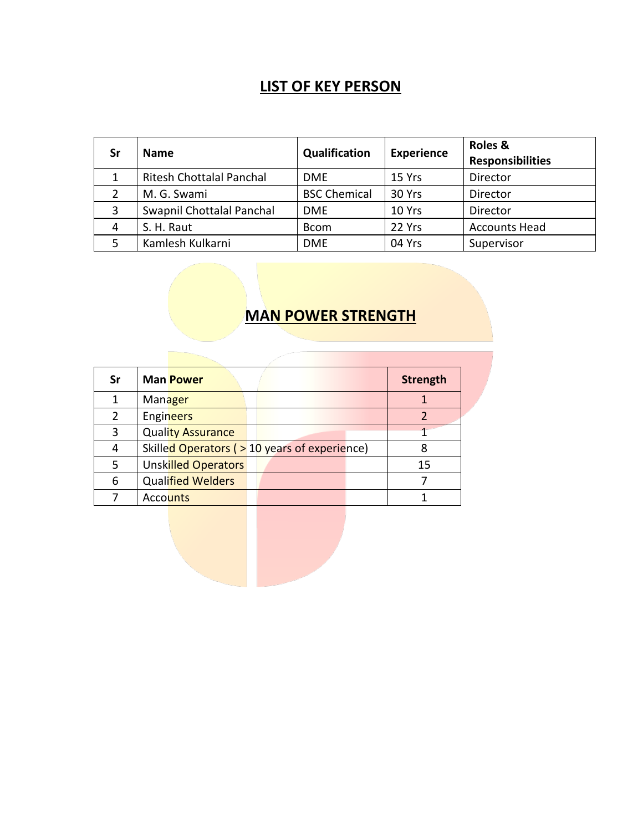#### **LIST OF KEY PERSON**

| Sr             | <b>Name</b>                     | Qualification       | <b>Experience</b> | Roles &<br><b>Responsibilities</b> |
|----------------|---------------------------------|---------------------|-------------------|------------------------------------|
| 1              | <b>Ritesh Chottalal Panchal</b> | <b>DME</b>          | 15 Yrs            | Director                           |
| 2              | M. G. Swami                     | <b>BSC Chemical</b> | 30 Yrs            | Director                           |
| 3              | Swapnil Chottalal Panchal       | <b>DME</b>          | 10 Yrs            | Director                           |
| $\overline{4}$ | S. H. Raut                      | <b>Bcom</b>         | 22 Yrs            | <b>Accounts Head</b>               |
|                | Kamlesh Kulkarni                | <b>DME</b>          | 04 Yrs            | Supervisor                         |

#### **MAN POWER STRENGTH**

| Sr |                 | <b>Man Power</b>           |                                              | <b>Strength</b> |
|----|-----------------|----------------------------|----------------------------------------------|-----------------|
|    | Manager         |                            |                                              |                 |
| 2  | Engineers       |                            |                                              |                 |
| 3  |                 | <b>Quality Assurance</b>   |                                              |                 |
| 4  |                 |                            | Skilled Operators (> 10 years of experience) |                 |
| 5  |                 | <b>Unskilled Operators</b> |                                              | 15              |
| 6  |                 | <b>Qualified Welders</b>   |                                              |                 |
|    | <b>Accounts</b> |                            |                                              |                 |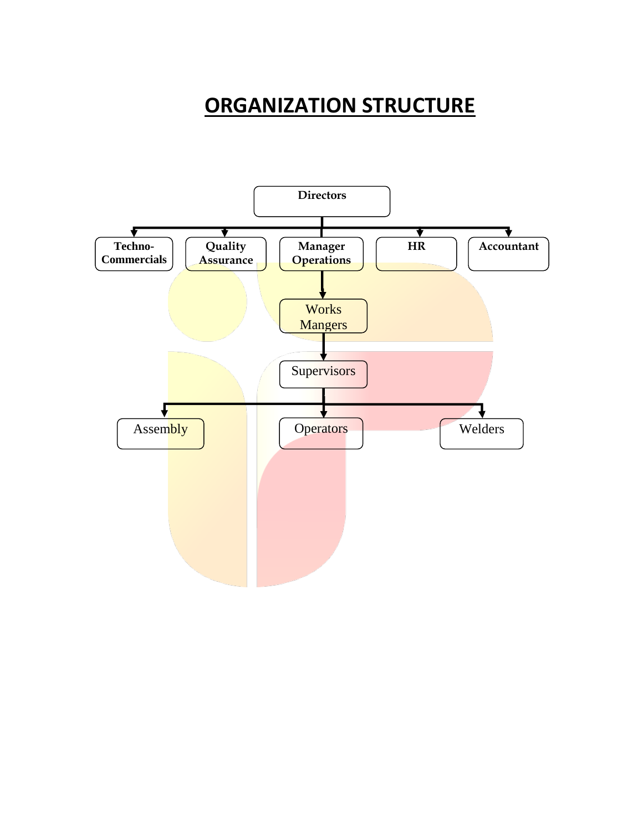### **ORGANIZATION STRUCTURE**